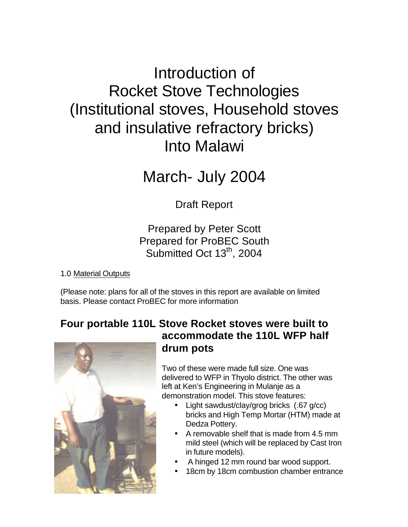# Introduction of Rocket Stove Technologies (Institutional stoves, Household stoves and insulative refractory bricks) Into Malawi

March- July 2004

Draft Report

# Prepared by Peter Scott Prepared for ProBEC South Submitted Oct 13<sup>th</sup>, 2004

1.0 Material Outputs

(Please note: plans for all of the stoves in this report are available on limited basis. Please contact ProBEC for more information

# **Four portable 110L Stove Rocket stoves were built to accommodate the 110L WFP half drum pots**

Two of these were made full size. One was delivered to WFP in Thyolo district. The other was left at Ken's Engineering in Mulanje as a demonstration model. This stove features:

- Light sawdust/clay/grog bricks (.67 g/cc) bricks and High Temp Mortar (HTM) made at Dedza Pottery.
- A removable shelf that is made from 4.5 mm mild steel (which will be replaced by Cast Iron in future models).
- A hinged 12 mm round bar wood support.
- 18cm by 18cm combustion chamber entrance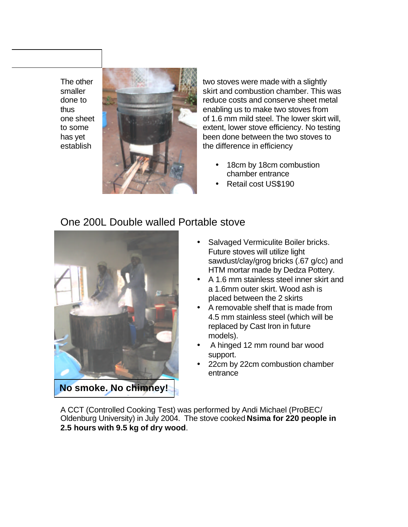

The other two stoves were made with a slightly smaller skill skirt and combustion chamber. This was done to reduce costs and conserve sheet metal thus enabling us to make two stoves from one sheet **of 1.6 mm mild steel. The lower skirt will,** of 1.6 mm mild steel. The lower skirt will, to some extent, lower stove efficiency. No testing has yet been done between the two stoves to

- 18cm by 18cm combustion chamber entrance
- Retail cost US\$190

### One 200L Double walled Portable stove



- Salvaged Vermiculite Boiler bricks. Future stoves will utilize light sawdust/clay/grog bricks (.67 g/cc) and HTM mortar made by Dedza Pottery.
- A 1.6 mm stainless steel inner skirt and a 1.6mm outer skirt. Wood ash is placed between the 2 skirts
- A removable shelf that is made from 4.5 mm stainless steel (which will be replaced by Cast Iron in future models).
- A hinged 12 mm round bar wood support.
- 22cm by 22cm combustion chamber entrance

A CCT (Controlled Cooking Test) was performed by Andi Michael (ProBEC/ Oldenburg University) in July 2004. The stove cooked **Nsima for 220 people in 2.5 hours with 9.5 kg of dry wood**.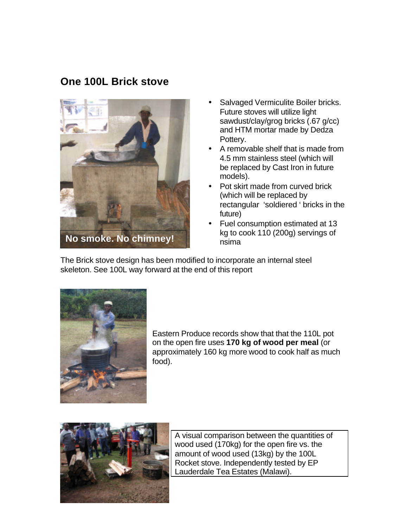### **One 100L Brick stove**



- Salvaged Vermiculite Boiler bricks. Future stoves will utilize light sawdust/clay/grog bricks (.67 g/cc) and HTM mortar made by Dedza Pottery.
- A removable shelf that is made from 4.5 mm stainless steel (which will be replaced by Cast Iron in future models).
- Pot skirt made from curved brick (which will be replaced by rectangular 'soldiered ' bricks in the future)
- Fuel consumption estimated at 13 kg to cook 110 (200g) servings of nsima

The Brick stove design has been modified to incorporate an internal steel skeleton. See 100L way forward at the end of this report



Eastern Produce records show that that the 110L pot on the open fire uses **170 kg of wood per meal** (or approximately 160 kg more wood to cook half as much food).



A visual comparison between the quantities of wood used (170kg) for the open fire vs. the amount of wood used (13kg) by the 100L Rocket stove. Independently tested by EP Lauderdale Tea Estates (Malawi).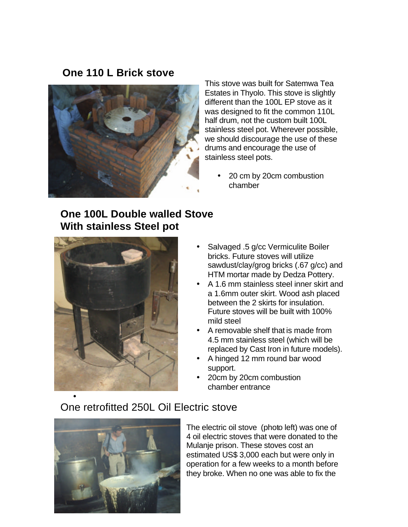### **One 110 L Brick stove**



This stove was built for Satemwa Tea Estates in Thyolo. This stove is slightly different than the 100L EP stove as it was designed to fit the common 110L half drum, not the custom built 100L stainless steel pot. Wherever possible, we should discourage the use of these drums and encourage the use of stainless steel pots.

• 20 cm by 20cm combustion chamber

# **One 100L Double walled Stove With stainless Steel pot**



- Salvaged .5 g/cc Vermiculite Boiler bricks. Future stoves will utilize sawdust/clay/grog bricks (.67 g/cc) and HTM mortar made by Dedza Pottery.
- A 1.6 mm stainless steel inner skirt and a 1.6mm outer skirt. Wood ash placed between the 2 skirts for insulation. Future stoves will be built with 100% mild steel
- A removable shelf that is made from 4.5 mm stainless steel (which will be replaced by Cast Iron in future models).
- A hinged 12 mm round bar wood support.
- 20cm by 20cm combustion chamber entrance

# One retrofitted 250L Oil Electric stove



The electric oil stove (photo left) was one of 4 oil electric stoves that were donated to the Mulanje prison. These stoves cost an estimated US\$ 3,000 each but were only in operation for a few weeks to a month before they broke. When no one was able to fix the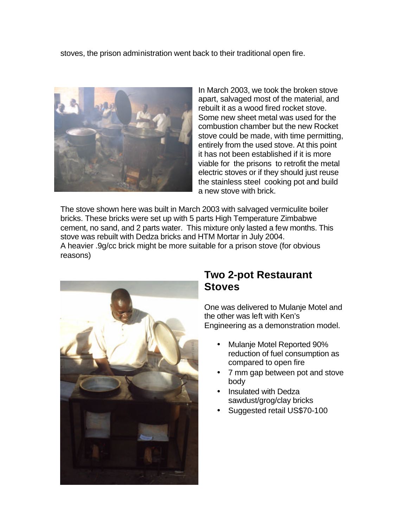stoves, the prison administration went back to their traditional open fire.



In March 2003, we took the broken stove apart, salvaged most of the material, and rebuilt it as a wood fired rocket stove. Some new sheet metal was used for the combustion chamber but the new Rocket stove could be made, with time permitting, entirely from the used stove. At this point it has not been established if it is more viable for the prisons to retrofit the metal electric stoves or if they should just reuse the stainless steel cooking pot and build a new stove with brick.

The stove shown here was built in March 2003 with salvaged vermiculite boiler bricks. These bricks were set up with 5 parts High Temperature Zimbabwe cement, no sand, and 2 parts water. This mixture only lasted a few months. This stove was rebuilt with Dedza bricks and HTM Mortar in July 2004. A heavier .9g/cc brick might be more suitable for a prison stove (for obvious reasons)



### **Two 2-pot Restaurant Stoves**

One was delivered to Mulanje Motel and the other was left with Ken's Engineering as a demonstration model.

- Mulanje Motel Reported 90% reduction of fuel consumption as compared to open fire
- 7 mm gap between pot and stove body
- Insulated with Dedza sawdust/grog/clay bricks
- Suggested retail US\$70-100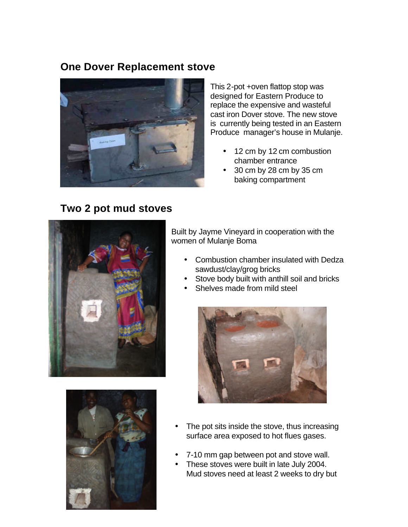### **One Dover Replacement stove**



This 2-pot +oven flattop stop was designed for Eastern Produce to replace the expensive and wasteful cast iron Dover stove. The new stove is currently being tested in an Eastern Produce manager's house in Mulanje.

- 12 cm by 12 cm combustion chamber entrance
- 30 cm by 28 cm by 35 cm baking compartment

# **Two 2 pot mud stoves**



Built by Jayme Vineyard in cooperation with the women of Mulanje Boma

- Combustion chamber insulated with Dedza sawdust/clay/grog bricks
- Stove body built with anthill soil and bricks
- Shelves made from mild steel





- The pot sits inside the stove, thus increasing surface area exposed to hot flues gases.
- 7-10 mm gap between pot and stove wall.
- These stoves were built in late July 2004. Mud stoves need at least 2 weeks to dry but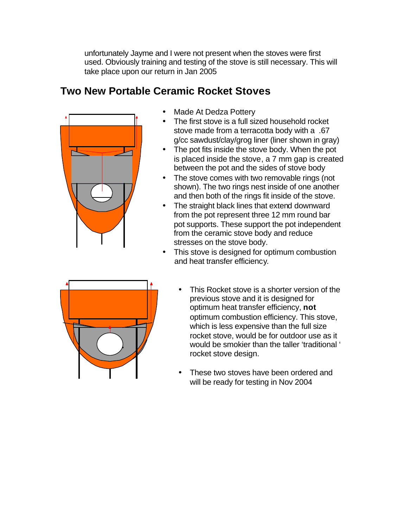unfortunately Jayme and I were not present when the stoves were first used. Obviously training and testing of the stove is still necessary. This will take place upon our return in Jan 2005

# **Two New Portable Ceramic Rocket Stoves**



- Made At Dedza Pottery
- The first stove is a full sized household rocket stove made from a terracotta body with a .67 g/cc sawdust/clay/grog liner (liner shown in gray)
- The pot fits inside the stove body. When the pot is placed inside the stove, a 7 mm gap is created between the pot and the sides of stove body
- The stove comes with two removable rings (not shown). The two rings nest inside of one another and then both of the rings fit inside of the stove.
- The straight black lines that extend downward from the pot represent three 12 mm round bar pot supports. These support the pot independent from the ceramic stove body and reduce stresses on the stove body.
- This stove is designed for optimum combustion and heat transfer efficiency.



- This Rocket stove is a shorter version of the previous stove and it is designed for optimum heat transfer efficiency, **not** optimum combustion efficiency. This stove, which is less expensive than the full size rocket stove, would be for outdoor use as it would be smokier than the taller 'traditional ' rocket stove design.
- These two stoves have been ordered and will be ready for testing in Nov 2004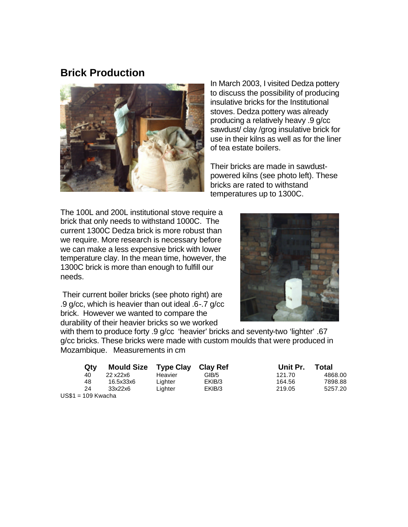### **Brick Production**



In March 2003, I visited Dedza pottery to discuss the possibility of producing insulative bricks for the Institutional stoves. Dedza pottery was already producing a relatively heavy .9 g/cc sawdust/ clay /grog insulative brick for use in their kilns as well as for the liner of tea estate boilers.

Their bricks are made in sawdustpowered kilns (see photo left). These bricks are rated to withstand temperatures up to 1300C.

The 100L and 200L institutional stove require a brick that only needs to withstand 1000C. The current 1300C Dedza brick is more robust than we require. More research is necessary before we can make a less expensive brick with lower temperature clay. In the mean time, however, the 1300C brick is more than enough to fulfill our needs.

 Their current boiler bricks (see photo right) are .9 g/cc, which is heavier than out ideal .6-.7 g/cc brick. However we wanted to compare the durability of their heavier bricks so we worked



with them to produce forty .9 g/cc 'heavier' bricks and seventy-two 'lighter' .67 g/cc bricks. These bricks were made with custom moulds that were produced in Mozambique. Measurements in cm

| Qty           | Mould Size Type Clay Clay Ref |         |        | Unit Pr. | Total   |
|---------------|-------------------------------|---------|--------|----------|---------|
| 40            | 22 x22x6                      | Heavier | GIB/5  | 121.70   | 4868.00 |
| 48            | 16.5x33x6                     | Liahter | EKIB/3 | 164.56   | 7898.88 |
| 24            | 33x22x6                       | Lighter | EKIB/3 | 219.05   | 5257.20 |
| $-100$ Kwacha |                               |         |        |          |         |

US\$1 = 109 Kwacha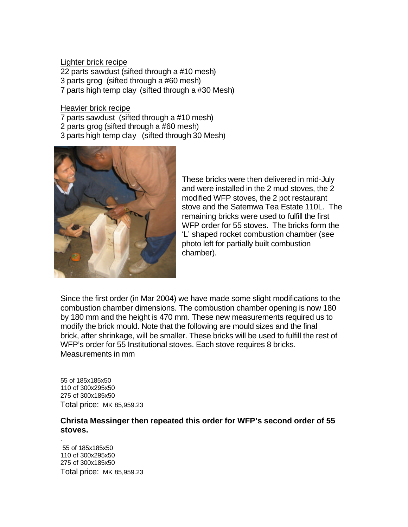Lighter brick recipe 22 parts sawdust (sifted through a #10 mesh) 3 parts grog (sifted through a #60 mesh) 7 parts high temp clay (sifted through a #30 Mesh)

Heavier brick recipe

7 parts sawdust (sifted through a #10 mesh)

- 2 parts grog (sifted through a #60 mesh)
- 3 parts high temp clay (sifted through 30 Mesh)



These bricks were then delivered in mid-July and were installed in the 2 mud stoves, the 2 modified WFP stoves, the 2 pot restaurant stove and the Satemwa Tea Estate 110L. The remaining bricks were used to fulfill the first WFP order for 55 stoves. The bricks form the 'L' shaped rocket combustion chamber (see photo left for partially built combustion chamber).

Since the first order (in Mar 2004) we have made some slight modifications to the combustion chamber dimensions. The combustion chamber opening is now 180 by 180 mm and the height is 470 mm. These new measurements required us to modify the brick mould. Note that the following are mould sizes and the final brick, after shrinkage, will be smaller. These bricks will be used to fulfill the rest of WFP's order for 55 Institutional stoves. Each stove requires 8 bricks. Measurements in mm

55 of 185x185x50 110 of 300x295x50 275 of 300x185x50 Total price: MK 85,959.23

#### **Christa Messinger then repeated this order for WFP's second order of 55 stoves.**

55 of 185x185x50 110 of 300x295x50 275 of 300x185x50 Total price: MK 85,959.23

.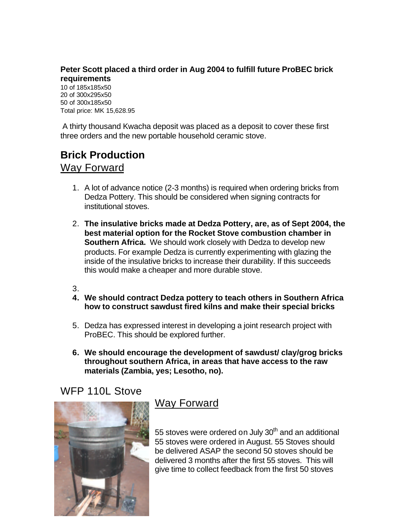#### **Peter Scott placed a third order in Aug 2004 to fulfill future ProBEC brick requirements**

10 of 185x185x50 20 of 300x295x50 50 of 300x185x50 Total price: MK 15,628.95

 A thirty thousand Kwacha deposit was placed as a deposit to cover these first three orders and the new portable household ceramic stove.

# **Brick Production**  Way Forward

- 1. A lot of advance notice (2-3 months) is required when ordering bricks from Dedza Pottery. This should be considered when signing contracts for institutional stoves.
- 2. **The insulative bricks made at Dedza Pottery, are, as of Sept 2004, the best material option for the Rocket Stove combustion chamber in Southern Africa.** We should work closely with Dedza to develop new products. For example Dedza is currently experimenting with glazing the inside of the insulative bricks to increase their durability. If this succeeds this would make a cheaper and more durable stove.
- 3.
- **4. We should contract Dedza pottery to teach others in Southern Africa how to construct sawdust fired kilns and make their special bricks**
- 5. Dedza has expressed interest in developing a joint research project with ProBEC. This should be explored further.
- **6. We should encourage the development of sawdust/ clay/grog bricks throughout southern Africa, in areas that have access to the raw materials (Zambia, yes; Lesotho, no).**

## WFP 110L Stove



# Way Forward

55 stoves were ordered on July  $30<sup>th</sup>$  and an additional 55 stoves were ordered in August. 55 Stoves should be delivered ASAP the second 50 stoves should be delivered 3 months after the first 55 stoves. This will give time to collect feedback from the first 50 stoves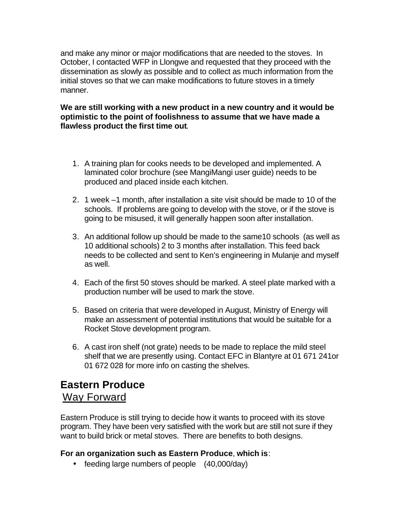and make any minor or major modifications that are needed to the stoves. In October, I contacted WFP in Llongwe and requested that they proceed with the dissemination as slowly as possible and to collect as much information from the initial stoves so that we can make modifications to future stoves in a timely manner.

#### **We are still working with a new product in a new country and it would be optimistic to the point of foolishness to assume that we have made a flawless product the first time out**.

- 1. A training plan for cooks needs to be developed and implemented. A laminated color brochure (see MangiMangi user guide) needs to be produced and placed inside each kitchen.
- 2. 1 week –1 month, after installation a site visit should be made to 10 of the schools. If problems are going to develop with the stove, or if the stove is going to be misused, it will generally happen soon after installation.
- 3. An additional follow up should be made to the same10 schools (as well as 10 additional schools) 2 to 3 months after installation. This feed back needs to be collected and sent to Ken's engineering in Mulanje and myself as well.
- 4. Each of the first 50 stoves should be marked. A steel plate marked with a production number will be used to mark the stove.
- 5. Based on criteria that were developed in August, Ministry of Energy will make an assessment of potential institutions that would be suitable for a Rocket Stove development program.
- 6. A cast iron shelf (not grate) needs to be made to replace the mild steel shelf that we are presently using. Contact EFC in Blantyre at 01 671 241or 01 672 028 for more info on casting the shelves.

## **Eastern Produce** Way Forward

Eastern Produce is still trying to decide how it wants to proceed with its stove program. They have been very satisfied with the work but are still not sure if they want to build brick or metal stoves. There are benefits to both designs.

#### **For an organization such as Eastern Produce**, **which is**:

• feeding large numbers of people (40,000/day)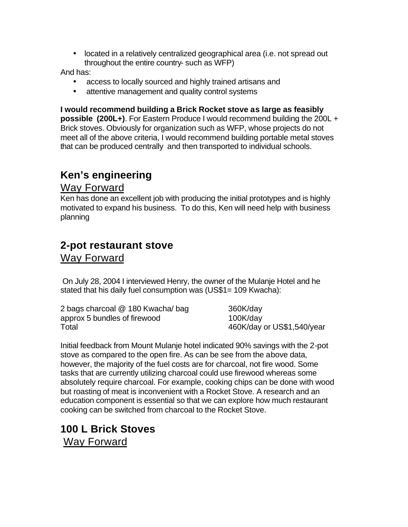• located in a relatively centralized geographical area (i.e. not spread out throughout the entire country- such as WFP)

And has:

- access to locally sourced and highly trained artisans and
- attentive management and quality control systems

**I would recommend building a Brick Rocket stove as large as feasibly possible (200L+)**. For Eastern Produce I would recommend building the 200L + Brick stoves. Obviously for organization such as WFP, whose projects do not meet all of the above criteria, I would recommend building portable metal stoves that can be produced centrally and then transported to individual schools.

# **Ken's engineering**

#### Way Forward

Ken has done an excellent job with producing the initial prototypes and is highly motivated to expand his business. To do this, Ken will need help with business planning

## **2-pot restaurant stove** Way Forward

 On July 28, 2004 I interviewed Henry, the owner of the Mulanje Hotel and he stated that his daily fuel consumption was (US\$1= 109 Kwacha):

| 2 bags charcoal @ 180 Kwacha/ bag | 360K/day                   |
|-----------------------------------|----------------------------|
| approx 5 bundles of firewood      | 100K/day                   |
| Total                             | 460K/day or US\$1,540/year |

Initial feedback from Mount Mulanje hotel indicated 90% savings with the 2-pot stove as compared to the open fire. As can be see from the above data, however, the majority of the fuel costs are for charcoal, not fire wood. Some tasks that are currently utilizing charcoal could use firewood whereas some absolutely require charcoal. For example, cooking chips can be done with wood but roasting of meat is inconvenient with a Rocket Stove. A research and an education component is essential so that we can explore how much restaurant cooking can be switched from charcoal to the Rocket Stove.

# **100 L Brick Stoves** Way Forward